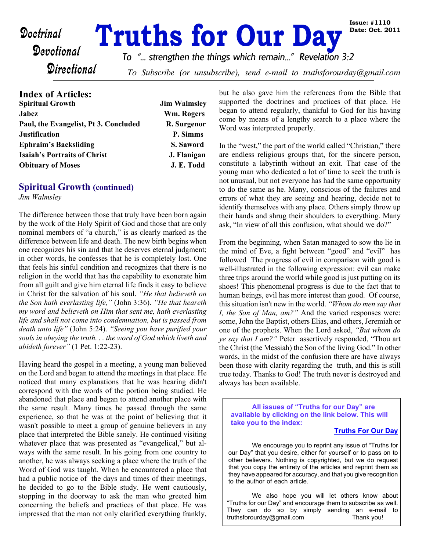# **Doctrinal Truths for Our Day**

*To "... strengthen the things which remain..." Revelation 3:2*

**Directional** 

To Subscribe (or unsubscribe), send e-mail to truthsforourday@gmail.com

| <b>Index of Articles:</b>             |                     |
|---------------------------------------|---------------------|
| <b>Spiritual Growth</b>               | <b>Jim Walmsley</b> |
| <b>Jabez</b>                          | Wm. Rogers          |
| Paul, the Evangelist, Pt 3. Concluded | R. Surgenor         |
| <b>Justification</b>                  | P. Simms            |
| <b>Ephraim's Backsliding</b>          | S. Saword           |
| <b>Isaiah's Portraits of Christ</b>   | J. Flanigan         |
| <b>Obituary of Moses</b>              | J. E. Todd          |
|                                       |                     |

#### **Spiritual Growth (continued)**

*Jim Walmsley*

The difference between those that truly have been born again by the work of the Holy Spirit of God and those that are only nominal members of "a church," is as clearly marked as the difference between life and death. The new birth begins when one recognizes his sin and that he deserves eternal judgment; in other words, he confesses that he is completely lost. One that feels his sinful condition and recognizes that there is no religion in the world that has the capability to exonerate him from all guilt and give him eternal life finds it easy to believe in Christ for the salvation of his soul. *"He that believeth on the Son hath everlasting life,"* (John 3:36). *"He that heareth my word and believeth on Him that sent me, hath everlasting life and shall not come into condemnation, but is passed from death unto life"* (John 5:24). *"Seeing you have purified your souls in obeying the truth. . . the word of God which liveth and abideth forever"* (1 Pet. 1:22-23).

Having heard the gospel in a meeting, a young man believed on the Lord and began to attend the meetings in that place. He noticed that many explanations that he was hearing didn't correspond with the words of the portion being studied. He abandoned that place and began to attend another place with the same result. Many times he passed through the same experience, so that he was at the point of believing that it wasn't possible to meet a group of genuine believers in any place that interpreted the Bible sanely. He continued visiting whatever place that was presented as "evangelical," but always with the same result. In his going from one country to another, he was always seeking a place where the truth of the Word of God was taught. When he encountered a place that had a public notice of the days and times of their meetings, he decided to go to the Bible study. He went cautiously, stopping in the doorway to ask the man who greeted him concerning the beliefs and practices of that place. He was impressed that the man not only clarified everything frankly, but he also gave him the references from the Bible that supported the doctrines and practices of that place. He began to attend regularly, thankful to God for his having come by means of a lengthy search to a place where the Word was interpreted properly.

In the "west," the part of the world called "Christian," there are endless religious groups that, for the sincere person, constitute a labyrinth without an exit. That case of the young man who dedicated a lot of time to seek the truth is not unusual, but not everyone has had the same opportunity to do the same as he. Many, conscious of the failures and errors of what they are seeing and hearing, decide not to identify themselves with any place. Others simply throw up their hands and shrug their shoulders to everything. Many ask, "In view of all this confusion, what should we do?"

From the beginning, when Satan managed to sow the lie in the mind of Eve, a fight between "good" and "evil" has followed The progress of evil in comparison with good is well-illustrated in the following expression: evil can make three trips around the world while good is just putting on its shoes! This phenomenal progress is due to the fact that to human beings, evil has more interest than good. Of course, this situation isn't new in the world. *"Whom do men say that I, the Son of Man, am?"* And the varied responses were: some, John the Baptist, others Elias, and others, Jeremiah or one of the prophets. When the Lord asked, *"But whom do ye say that I am?"* Peter assertively responded, "Thou art the Christ (the Messiah) the Son of the living God." In other words, in the midst of the confusion there are have always been those with clarity regarding the truth, and this is still true today. Thanks to God! The truth never is destroyed and always has been available.

**All issues of "Truths for our Day" are available by clicking on the link below. This will take you to the index:**

#### **[Truths For Our Day](http://truthsforourday.com)**

 We encourage you to reprint any issue of "Truths for our Day" that you desire, either for yourself or to pass on to other believers. Nothing is copyrighted, but we do request that you copy the entirety of the articles and reprint them as they have appeared for accuracy, and that you give recognition to the author of each article.

 We also hope you will let others know about "Truths for our Day" and encourage them to subscribe as well. They can do so by simply sending an e-mail to truthsforourday@gmail.com Thank you!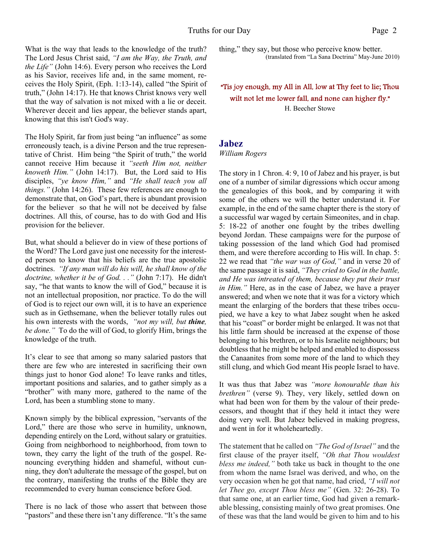What is the way that leads to the knowledge of the truth? The Lord Jesus Christ said, *"I am the Way, the Truth, and the Life"* (John 14:6). Every person who receives the Lord as his Savior, receives life and, in the same moment, receives the Holy Spirit, (Eph. 1:13-14), called "the Spirit of truth," (John 14:17). He that knows Christ knows very well that the way of salvation is not mixed with a lie or deceit. Wherever deceit and lies appear, the believer stands apart, knowing that this isn't God's way.

The Holy Spirit, far from just being "an influence" as some erroneously teach, is a divine Person and the true representative of Christ. Him being "the Spirit of truth," the world cannot receive Him because it *"seeth Him not, neither knoweth Him."* (John 14:17). But, the Lord said to His disciples, *"ye know Him,"* and *"He shall teach you all things."* (John 14:26). These few references are enough to demonstrate that, on God's part, there is abundant provision for the believer so that he will not be deceived by false doctrines. All this, of course, has to do with God and His provision for the believer.

But, what should a believer do in view of these portions of the Word? The Lord gave just one necessity for the interested person to know that his beliefs are the true apostolic doctrines. *"If any man will do his will, he shall know of the doctrine, whether it be of God. . ."* (John 7:17). He didn't say, "he that wants to know the will of God," because it is not an intellectual proposition, nor practice. To do the will of God is to reject our own will, it is to have an experience such as in Gethsemane, when the believer totally rules out his own interests with the words, *"not my will, but thine, be done."* To do the will of God, to glorify Him, brings the knowledge of the truth.

It's clear to see that among so many salaried pastors that there are few who are interested in sacrificing their own things just to honor God alone! To leave ranks and titles, important positions and salaries, and to gather simply as a "brother" with many more, gathered to the name of the Lord, has been a stumbling stone to many.

Known simply by the biblical expression, "servants of the Lord," there are those who serve in humility, unknown, depending entirely on the Lord, without salary or gratuities. Going from neighborhood to neighborhood, from town to town, they carry the light of the truth of the gospel. Renouncing everything hidden and shameful, without cunning, they don't adulterate the message of the gospel, but on the contrary, manifesting the truths of the Bible they are recommended to every human conscience before God.

There is no lack of those who assert that between those "pastors" and these there isn't any difference. "It's the same" thing," they say, but those who perceive know better. (translated from "La Sana Doctrina" May-June 2010)

"Tis joy enough, my All in All, low at Thy feet to lie; Thou wilt not let me lower fall, and none can higher fly." H. Beecher Stowe

#### **Jabez**

*William Rogers*

The story in 1 Chron. 4: 9, 10 of Jabez and his prayer, is but one of a number of similar digressions which occur among the genealogies of this book, and by comparing it with some of the others we will the better understand it. For example, in the end of the same chapter there is the story of a successful war waged by certain Simeonites, and in chap. 5: 18-22 of another one fought by the tribes dwelling beyond Jordan. These campaigns were for the purpose of taking possession of the land which God had promised them, and were therefore according to His will. In chap. 5: 22 we read that *"the war was of God,"* and in verse 20 of the same passage it is said, *"They cried to God in the battle, and He was intreated of them, because they put their trust in Him."* Here, as in the case of Jabez, we have a prayer answered; and when we note that it was for a victory which meant the enlarging of the borders that these tribes occupied, we have a key to what Jabez sought when he asked that his "coast" or border might be enlarged. It was not that his little farm should be increased at the expense of those belonging to his brethren, or to his Israelite neighbours; but doubtless that he might be helped and enabled to dispossess the Canaanites from some more of the land to which they still clung, and which God meant His people Israel to have.

It was thus that Jabez was *"more honourable than his brethren"* (verse 9). They, very likely, settled down on what had been won for them by the valour of their predecessors, and thought that if they held it intact they were doing very well. But Jabez believed in making progress, and went in for it wholeheartedly.

The statement that he called on *"The God of Israel"* and the first clause of the prayer itself, *"Oh that Thou wouldest bless me indeed,"* both take us back in thought to the one from whom the name Israel was derived, and who, on the very occasion when he got that name, had cried, *"I will not let Thee go, except Thou bless me"* (Gen. 32: 26-28). To that same one, at an earlier time, God had given a remarkable blessing, consisting mainly of two great promises. One of these was that the land would be given to him and to his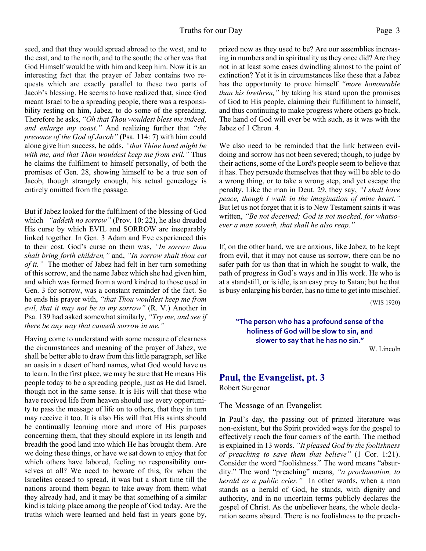#### Truths for our Day Page 3

seed, and that they would spread abroad to the west, and to the east, and to the north, and to the south; the other was that God Himself would be with him and keep him. Now it is an interesting fact that the prayer of Jabez contains two requests which are exactly parallel to these two parts of Jacob's blessing. He seems to have realized that, since God meant Israel to be a spreading people, there was a responsibility resting on him, Jabez, to do some of the spreading. Therefore he asks, *"Oh that Thou wouldest bless me indeed, and enlarge my coast."* And realizing further that *"the presence of the God of Jacob"* (Psa. 114: 7) with him could alone give him success, he adds, *"that Thine hand might be with me, and that Thou wouldest keep me from evil."* Thus he claims the fulfilment to himself personally, of both the promises of Gen. 28, showing himself to be a true son of Jacob, though strangely enough, his actual genealogy is entirely omitted from the passage.

But if Jabez looked for the fulfilment of the blessing of God which *"addeth no sorrow"* (Prov. 10: 22), he also dreaded His curse by which EVIL and SORROW are inseparably linked together. In Gen. 3 Adam and Eve experienced this to their cost. God's curse on them was, *"In sorrow thou shalt bring forth children,"* and, *"In sorrow shalt thou eat of it."* The mother of Jabez had felt in her turn something of this sorrow, and the name Jabez which she had given him, and which was formed from a word kindred to those used in Gen. 3 for sorrow, was a constant reminder of the fact. So he ends his prayer with, *"that Thou wouldest keep me from evil, that it may not be to my sorrow"* (R. V.) Another in Psa. 139 had asked somewhat similarly, *"Try me, and see if there be any way that causeth sorrow in me."*

Having come to understand with some measure of clearness the circumstances and meaning of the prayer of Jabez, we shall be better able to draw from this little paragraph, set like an oasis in a desert of hard names, what God would have us to learn. In the first place, we may be sure that He means His people today to be a spreading people, just as He did Israel, though not in the same sense. It is His will that those who have received life from heaven should use every opportunity to pass the message of life on to others, that they in turn may receive it too. It is also His will that His saints should be continually learning more and more of His purposes concerning them, that they should explore in its length and breadth the good land into which He has brought them. Are we doing these things, or have we sat down to enjoy that for which others have labored, feeling no responsibility ourselves at all? We need to beware of this, for when the Israelites ceased to spread, it was but a short time till the nations around them began to take away from them what they already had, and it may be that something of a similar kind is taking place among the people of God today. Are the truths which were learned and held fast in years gone by, prized now as they used to be? Are our assemblies increasing in numbers and in spirituality as they once did? Are they not in at least some cases dwindling almost to the point of extinction? Yet it is in circumstances like these that a Jabez has the opportunity to prove himself *"more honourable than his brethren,"* by taking his stand upon the promises of God to His people, claiming their fulfillment to himself, and thus continuing to make progress where others go back. The hand of God will ever be with such, as it was with the Jabez of 1 Chron. 4.

We also need to be reminded that the link between evildoing and sorrow has not been severed; though, to judge by their actions, some of the Lord's people seem to believe that it has. They persuade themselves that they will be able to do a wrong thing, or to take a wrong step, and yet escape the penalty. Like the man in Deut. 29, they say, *"I shall have peace, though I walk in the imagination of mine heart."* But let us not forget that it is to New Testament saints it was written, *"Be not deceived; God is not mocked, for whatsoever a man soweth, that shall he also reap."*

If, on the other hand, we are anxious, like Jabez, to be kept from evil, that it may not cause us sorrow, there can be no safer path for us than that in which he sought to walk, the path of progress in God's ways and in His work. He who is at a standstill, or is idle, is an easy prey to Satan; but he that is busy enlarging his border, has no time to get into mischief.

(WIS 1920)

**"The person who has a profound sense of the holiness of God will be slow to sin, and slower to say that he has no sin."**

W. Lincoln

## **Paul, the Evangelist, pt. 3**

Robert Surgenor

The Message of an Evangelist

In Paul's day, the passing out of printed literature was non-existent, but the Spirit provided ways for the gospel to effectively reach the four corners of the earth. The method is explained in 13 words. *"It pleased God by the foolishness of preaching to save them that believe"* (1 Cor. 1:21). Consider the word "foolishness." The word means "absurdity." The word "preaching" means, *"a proclamation, to herald as a public crier."* In other words, when a man stands as a herald of God, he stands, with dignity and authority, and in no uncertain terms publicly declares the gospel of Christ. As the unbeliever hears, the whole declaration seems absurd. There is no foolishness to the preach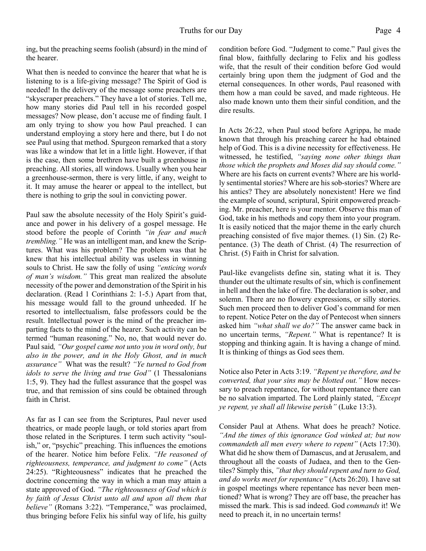ing, but the preaching seems foolish (absurd) in the mind of the hearer.

What then is needed to convince the hearer that what he is listening to is a life-giving message? The Spirit of God is needed! In the delivery of the message some preachers are "skyscraper preachers." They have a lot of stories. Tell me, how many stories did Paul tell in his recorded gospel messages? Now please, don't accuse me of finding fault. I am only trying to show you how Paul preached. I can understand employing a story here and there, but I do not see Paul using that method. Spurgeon remarked that a story was like a window that let in a little light. However, if that is the case, then some brethren have built a greenhouse in preaching. All stories, all windows. Usually when you hear a greenhouse-sermon, there is very little, if any, weight to it. It may amuse the hearer or appeal to the intellect, but there is nothing to grip the soul in convicting power.

Paul saw the absolute necessity of the Holy Spirit's guidance and power in his delivery of a gospel message. He stood before the people of Corinth *"in fear and much trembling."* He was an intelligent man, and knew the Scriptures. What was his problem? The problem was that he knew that his intellectual ability was useless in winning souls to Christ. He saw the folly of using *"enticing words of man's wisdom."* This great man realized the absolute necessity of the power and demonstration of the Spirit in his declaration. (Read 1 Corinthians 2: 1-5.) Apart from that, his message would fall to the ground unheeded. If he resorted to intellectualism, false professors could be the result. Intellectual power is the mind of the preacher imparting facts to the mind of the hearer. Such activity can be termed "human reasoning." No, no, that would never do. Paul said*, "Our gospel came not unto you in word only, but also in the power, and in the Holy Ghost, and in much assurance"* What was the result? *"Ye turned to God from idols to serve the living and true God"* (1 Thessalonians 1:5, 9). They had the fullest assurance that the gospel was true, and that remission of sins could be obtained through faith in Christ.

As far as I can see from the Scriptures, Paul never used theatrics, or made people laugh, or told stories apart from those related in the Scriptures. I term such activity "soulish," or, "psychic" preaching. This influences the emotions of the hearer. Notice him before Felix. *"He reasoned of righteousness, temperance, and judgment to come"* (Acts 24:25). "Righteousness" indicates that he preached the doctrine concerning the way in which a man may attain a state approved of God. *"The righteousness of God which is by faith of Jesus Christ unto all and upon all them that believe*" (Romans 3:22). "Temperance," was proclaimed, thus bringing before Felix his sinful way of life, his guilty

condition before God. "Judgment to come." Paul gives the final blow, faithfully declaring to Felix and his godless wife, that the result of their condition before God would certainly bring upon them the judgment of God and the eternal consequences. In other words, Paul reasoned with them how a man could be saved, and made righteous. He also made known unto them their sinful condition, and the dire results.

In Acts 26:22, when Paul stood before Agrippa, he made known that through his preaching career he had obtained help of God. This is a divine necessity for effectiveness. He witnessed, he testified, *"saying none other things than those which the prophets and Moses did say should come."* Where are his facts on current events? Where are his worldly sentimental stories? Where are his sob-stories? Where are his antics? They are absolutely nonexistent! Here we find the example of sound, scriptural, Spirit empowered preaching. Mr. preacher, here is your mentor. Observe this man of God, take in his methods and copy them into your program. It is easily noticed that the major theme in the early church preaching consisted of five major themes. (1) Sin. (2) Repentance. (3) The death of Christ. (4) The resurrection of Christ. (5) Faith in Christ for salvation.

Paul-like evangelists define sin, stating what it is. They thunder out the ultimate results of sin, which is confinement in hell and then the lake of fire. The declaration is sober, and solemn. There are no flowery expressions, or silly stories. Such men proceed then to deliver God's command for men to repent. Notice Peter on the day of Pentecost when sinners asked him *"what shall we do?"* The answer came back in no uncertain terms, *"Repent."* What is repentance? It is stopping and thinking again. It is having a change of mind. It is thinking of things as God sees them.

Notice also Peter in Acts 3:19. *"Repent ye therefore, and be converted, that your sins may be blotted out."* How necessary to preach repentance, for without repentance there can be no salvation imparted. The Lord plainly stated, *"Except ye repent, ye shall all likewise perish"* (Luke 13:3).

Consider Paul at Athens. What does he preach? Notice. *"And the times of this ignorance God winked at; but now commandeth all men every where to repent"* (Acts 17:30). What did he show them of Damascus, and at Jerusalem, and throughout all the coasts of Judaea, and then to the Gentiles? Simply this, *"that they should repent and turn to God, and do works meet for repentance"* (Acts 26:20). I have sat in gospel meetings where repentance has never been mentioned? What is wrong? They are off base, the preacher has missed the mark. This is sad indeed. God *commands* it! We need to preach it, in no uncertain terms!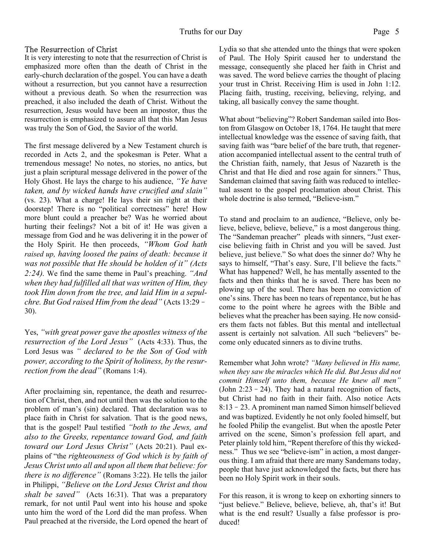#### The Resurrection of Christ

It is very interesting to note that the resurrection of Christ is emphasized more often than the death of Christ in the early-church declaration of the gospel. You can have a death without a resurrection, but you cannot have a resurrection without a previous death. So when the resurrection was preached, it also included the death of Christ. Without the resurrection, Jesus would have been an impostor, thus the resurrection is emphasized to assure all that this Man Jesus was truly the Son of God, the Savior of the world.

The first message delivered by a New Testament church is recorded in Acts 2, and the spokesman is Peter. What a tremendous message! No notes, no stories, no antics, but just a plain scriptural message delivered in the power of the Holy Ghost. He lays the charge to his audience, *"Ye have taken, and by wicked hands have crucified and slain"* (vs. 23). What a charge! He lays their sin right at their doorstep! There is no "political correctness" here! How more blunt could a preacher be? Was he worried about hurting their feelings? Not a bit of it! He was given a message from God and he was delivering it in the power of the Holy Spirit. He then proceeds, *"Whom God hath raised up, having loosed the pains of death: because it was not possible that He should be holden of it" (Acts 2:24).* We find the same theme in Paul's preaching. *"And when they had fulfilled all that was written of Him, they took Him down from the tree, and laid Him in a sepulchre. But God raised Him from the dead"* (Acts 13:29– 30).

Yes, *"with great power gave the apostles witness of the resurrection of the Lord Jesus"* (Acts 4:33). Thus, the Lord Jesus was *" declared to be the Son of God with power, according to the Spirit of holiness, by the resurrection from the dead"* (Romans 1:4).

After proclaiming sin, repentance, the death and resurrection of Christ, then, and not until then was the solution to the problem of man's (sin) declared. That declaration was to place faith in Christ for salvation. That is the good news, that is the gospel! Paul testified *"both to the Jews, and also to the Greeks, repentance toward God, and faith toward our Lord Jesus Christ"* (Acts 20:21). Paul explains of "the *righteousness of God which is by faith of Jesus Christ unto all and upon all them that believe: for there is no difference"* (Romans 3:22). He tells the jailor in Philippi, *"Believe on the Lord Jesus Christ and thou shalt be saved"* (Acts 16:31). That was a preparatory remark, for not until Paul went into his house and spoke unto him the word of the Lord did the man profess. When Paul preached at the riverside, the Lord opened the heart of Lydia so that she attended unto the things that were spoken of Paul. The Holy Spirit caused her to understand the message, consequently she placed her faith in Christ and was saved. The word believe carries the thought of placing your trust in Christ. Receiving Him is used in John 1:12. Placing faith, trusting, receiving, believing, relying, and taking, all basically convey the same thought.

What about "believing"? Robert Sandeman sailed into Boston from Glasgow on October 18, 1764. He taught that mere intellectual knowledge was the essence of saving faith, that saving faith was "bare belief of the bare truth, that regeneration accompanied intellectual assent to the central truth of the Christian faith, namely, that Jesus of Nazareth is the Christ and that He died and rose again for sinners." Thus, Sandeman claimed that saving faith was reduced to intellectual assent to the gospel proclamation about Christ. This whole doctrine is also termed, "Believe-ism."

To stand and proclaim to an audience, "Believe, only believe, believe, believe, believe," is a most dangerous thing. The "Sandeman preacher" pleads with sinners, "Just exercise believing faith in Christ and you will be saved. Just believe, just believe." So what does the sinner do? Why he says to himself, "That's easy. Sure, I'll believe the facts." What has happened? Well, he has mentally assented to the facts and then thinks that he is saved. There has been no plowing up of the soul. There has been no conviction of one's sins. There has been no tears of repentance, but he has come to the point where he agrees with the Bible and believes what the preacher has been saying. He now considers them facts not fables. But this mental and intellectual assent is certainly not salvation. All such "believers" become only educated sinners as to divine truths.

Remember what John wrote? *"Many believed in His name, when they saw the miracles which He did. But Jesus did not commit Himself unto them, because He knew all men"* (John  $2:23-24$ ). They had a natural recognition of facts, but Christ had no faith in their faith. Also notice Acts 8:13–23. A prominent man named Simon himself believed and was baptized. Evidently he not only fooled himself, but he fooled Philip the evangelist. But when the apostle Peter arrived on the scene, Simon's profession fell apart, and Peter plainly told him, "Repent therefore of this thy wickedness." Thus we see "believe-ism" in action, a most dangerous thing. I am afraid that there are many Sandemans today, people that have just acknowledged the facts, but there has been no Holy Spirit work in their souls.

For this reason, it is wrong to keep on exhorting sinners to "just believe." Believe, believe, believe, ah, that's it! But what is the end result? Usually a false professor is produced!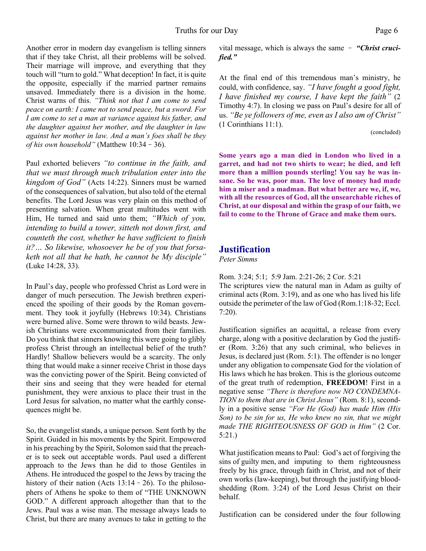Another error in modern day evangelism is telling sinners that if they take Christ, all their problems will be solved. Their marriage will improve, and everything that they touch will "turn to gold." What deception! In fact, it is quite the opposite, especially if the married partner remains unsaved. Immediately there is a division in the home. Christ warns of this. *"Think not that I am come to send peace on earth: I came not to send peace, but a sword. For I am come to set a man at variance against his father, and the daughter against her mother, and the daughter in law against her mother in law. And a man's foes shall be they of his own household"* (Matthew 10:34–36).

Paul exhorted believers *"to continue in the faith, and that we must through much tribulation enter into the kingdom of God"* (Acts 14:22). Sinners must be warned of the consequences of salvation, but also told of the eternal benefits. The Lord Jesus was very plain on this method of presenting salvation. When great multitudes went with Him, He turned and said unto them; *"Which of you, intending to build a tower, sitteth not down first, and counteth the cost, whether he have sufficient to finish it?… So likewise, whosoever he be of you that forsaketh not all that he hath, he cannot be My disciple"* (Luke 14:28, 33).

In Paul's day, people who professed Christ as Lord were in danger of much persecution. The Jewish brethren experienced the spoiling of their goods by the Roman government. They took it joyfully (Hebrews 10:34). Christians were burned alive. Some were thrown to wild beasts. Jewish Christians were excommunicated from their families. Do you think that sinners knowing this were going to glibly profess Christ through an intellectual belief of the truth? Hardly! Shallow believers would be a scarcity. The only thing that would make a sinner receive Christ in those days was the convicting power of the Spirit. Being convicted of their sins and seeing that they were headed for eternal punishment, they were anxious to place their trust in the Lord Jesus for salvation, no matter what the earthly consequences might be.

So, the evangelist stands, a unique person. Sent forth by the Spirit. Guided in his movements by the Spirit. Empowered in his preaching by the Spirit, Solomon said that the preacher is to seek out acceptable words. Paul used a different approach to the Jews than he did to those Gentiles in Athens. He introduced the gospel to the Jews by tracing the history of their nation (Acts 13:14 – 26). To the philosophers of Athens he spoke to them of "THE UNKNOWN GOD." A different approach altogether than that to the Jews. Paul was a wise man. The message always leads to Christ, but there are many avenues to take in getting to the

vital message, which is always the same – *"Christ crucified."*

At the final end of this tremendous man's ministry, he could, with confidence, say. *"I have fought a good fight, I have finished my course, I have kept the faith"* (2 Timothy 4:7). In closing we pass on Paul's desire for all of us. *"Be ye followers of me, even as I also am of Christ"* (1 Corinthians 11:1).

(concluded)

**Some years ago a man died in London who lived in a garret, and had not two shirts to wear; he died, and left more than a million pounds sterling! You say he was insane. So he was, poor man. The love of money had made him a miser and a madman. But what better are we, if, we, with all the resources of God, all the unsearchable riches of Christ, at our disposal and within the grasp of our faith, we fail to come to the Throne of Grace and make them ours.**

#### **Justification**

*Peter Simms*

Rom. 3:24; 5:1; 5:9 Jam. 2:21-26; 2 Cor. 5:21 The scriptures view the natural man in Adam as guilty of criminal acts (Rom. 3:19), and as one who has lived his life outside the perimeter of the law of God (Rom.1:18-32; Eccl. 7:20).

Justification signifies an acquittal, a release from every charge, along with a positive declaration by God the justifier (Rom. 3:26) that any such criminal, who believes in Jesus, is declared just (Rom. 5:1). The offender is no longer under any obligation to compensate God for the violation of His laws which he has broken. This is the glorious outcome of the great truth of redemption, **FREEDOM**! First in a negative sense *"There is therefore now NO CONDEMNA-TION to them that are in Christ Jesus"* (Rom. 8:1), secondly in a positive sense *"For He (God) has made Him (His Son) to be sin for us, He who knew no sin, that we might made THE RIGHTEOUSNESS OF GOD in Him"* (2 Cor. 5:21.)

What justification means to Paul: God's act of forgiving the sins of guilty men, and imputing to them righteousness freely by his grace, through faith in Christ, and not of their own works (law-keeping), but through the justifying bloodshedding (Rom. 3:24) of the Lord Jesus Christ on their behalf.

Justification can be considered under the four following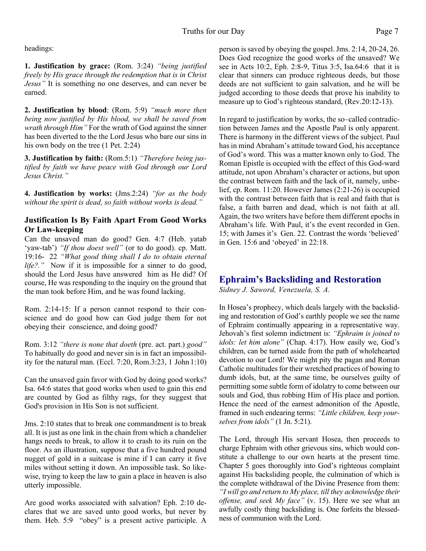headings:

**1. Justification by grace:** (Rom. 3:24) *"being justified freely by His grace through the redemption that is in Christ Jesus"* It is something no one deserves, and can never be earned.

**2. Justification by blood**: (Rom. 5:9) *"much more then being now justified by His blood, we shall be saved from wrath through Him"* For the wrath of God against the sinner has been diverted to the the Lord Jesus who bare our sins in his own body on the tree (1 Pet. 2:24)

**3. Justification by faith:** (Rom.5:1) *"Therefore being justified by faith we have peace with God through our Lord Jesus Christ."*

**4. Justification by works:** (Jms.2:24) *"for as the body without the spirit is dead, so faith without works is dead."*

#### **Justification Is By Faith Apart From Good Works Or Law-keeping**

Can the unsaved man do good? Gen. 4:7 (Heb. yatab 'yaw-tab') "If thou doest well" (or to do good). cp. Matt. 19:16- 22 *"What good thing shall I do to obtain eternal life?.*" Now if it is impossible for a sinner to do good, should the Lord Jesus have answered him as He did? Of course, He was responding to the inquiry on the ground that the man took before Him, and he was found lacking.

Rom. 2:14-15: If a person cannot respond to their conscience and do good how can God judge them for not obeying their conscience, and doing good?

Rom. 3:12 *"there is none that doeth* (pre. act. part.) *good"* To habitually do good and never sin is in fact an impossibility for the natural man. (Eccl. 7:20, Rom.3:23, 1 John 1:10)

Can the unsaved gain favor with God by doing good works? Isa. 64:6 states that good works when used to gain this end are counted by God as filthy rags, for they suggest that God's provision in His Son is not sufficient.

Jms. 2:10 states that to break one commandment is to break all. It is just as one link in the chain from which a chandelier hangs needs to break, to allow it to crash to its ruin on the floor. As an illustration, suppose that a five hundred pound nugget of gold in a suitcase is mine if I can carry it five miles without setting it down. An impossible task. So likewise, trying to keep the law to gain a place in heaven is also utterly impossible.

Are good works associated with salvation? Eph. 2:10 declares that we are saved unto good works, but never by them. Heb. 5:9 "obey" is a present active participle. A person is saved by obeying the gospel. Jms. 2:14, 20-24, 26. Does God recognize the good works of the unsaved? We see in Acts 10:2, Eph. 2:8-9, Titus 3:5, Isa.64:6 that it is clear that sinners can produce righteous deeds, but those deeds are not sufficient to gain salvation, and he will be judged according to those deeds that prove his inability to measure up to God's righteous standard, (Rev.20:12-13).

In regard to justification by works, the so–called contradiction between James and the Apostle Paul is only apparent. There is harmony in the different views of the subject. Paul has in mind Abraham's attitude toward God, his acceptance of God's word. This was a matter known only to God. The Roman Epistle is occupied with the effect of this God-ward attitude, not upon Abraham's character or actions, but upon the contrast between faith and the lack of it, namely, unbelief, cp. Rom. 11:20. However James (2:21-26) is occupied with the contrast between faith that is real and faith that is false, a faith barren and dead, which is not faith at all. Again, the two writers have before them different epochs in Abraham's life. With Paul, it's the event recorded in Gen. 15; with James it's Gen. 22. Contrast the words 'believed' in Gen. 15:6 and 'obeyed' in 22:18.

### **Ephraim's Backsliding and Restoration**

*Sidney J. Saword, Venezuela, S. A.*

In Hosea's prophecy, which deals largely with the backsliding and restoration of God's earthly people we see the name of Ephraim continually appearing in a representative way. Jehovah's first solemn indictment is: *"Ephraim is joined to idols: let him alone"* (Chap. 4:17). How easily we, God's children, can be turned aside from the path of wholehearted devotion to our Lord! We might pity the pagan and Roman Catholic multitudes for their wretched practices of bowing to dumb idols, but, at the same time, be ourselves guilty of permitting some subtle form of idolatry to come between our souls and God, thus robbing Him of His place and portion. Hence the need of the earnest admonition of the Apostle, framed in such endearing terms: *"Little children, keep yourselves from idols"* (1 Jn. 5:21).

The Lord, through His servant Hosea, then proceeds to charge Ephraim with other grievous sins, which would constitute a challenge to our own hearts at the present time. Chapter 5 goes thoroughly into God's righteous complaint against His backsliding people, the culmination of which is the complete withdrawal of the Divine Presence from them: *"I will go and return to My place, till they acknowledge their offense, and seek My face"* (v. 15). Here we see what an awfully costly thing backsliding is. One forfeits the blessedness of communion with the Lord.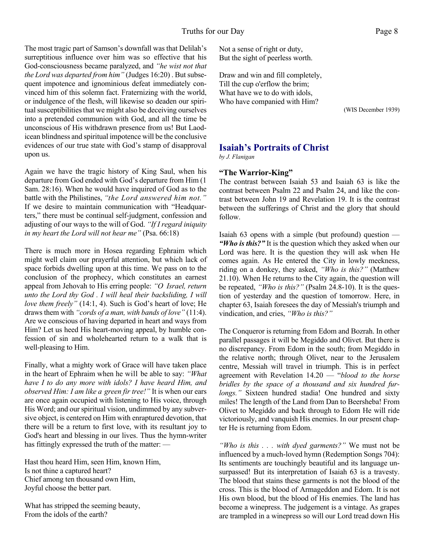The most tragic part of Samson's downfall was that Delilah's surreptitious influence over him was so effective that his God-consciousness became paralyzed, and *"he wist not that the Lord was departed from him"* (Judges 16:20) . But subsequent impotence and ignominious defeat immediately convinced him of this solemn fact. Fraternizing with the world, or indulgence of the flesh, will likewise so deaden our spiritual susceptibilities that we might also be deceiving ourselves into a pretended communion with God, and all the time be unconscious of His withdrawn presence from us! But Laodicean blindness and spiritual impotence will be the conclusive evidences of our true state with God's stamp of disapproval upon us.

Again we have the tragic history of King Saul, when his departure from God ended with God's departure from Him (1 Sam. 28:16). When he would have inquired of God as to the battle with the Philistines, *"the Lord answered him not."* If we desire to maintain communication with "Headquarters," there must be continual self-judgment, confession and adjusting of our ways to the will of God. *"If I regard iniquity in my heart the Lord will not hear me"* (Psa. 66:18)

There is much more in Hosea regarding Ephraim which might well claim our prayerful attention, but which lack of space forbids dwelling upon at this time. We pass on to the conclusion of the prophecy, which constitutes an earnest appeal from Jehovah to His erring people: *"O Israel, return unto the Lord thy God . I will heal their backsliding, I will love them freely"* (14:1, 4). Such is God's heart of love; He draws them with *"cords of a man, with bands of love"* (11:4). Are we conscious of having departed in heart and ways from Him? Let us heed His heart-moving appeal, by humble confession of sin and wholehearted return to a walk that is well-pleasing to Him.

Finally, what a mighty work of Grace will have taken place in the heart of Ephraim when he will be able to say: *"What have I to do any more with idols? I have heard Him, and observed Him: I am like a green fir tree!"* It is when our ears are once again occupied with listening to His voice, through His Word; and our spiritual vision, undimmed by any subversive object, is centered on Him with enraptured devotion, that there will be a return to first love, with its resultant joy to God's heart and blessing in our lives. Thus the hymn-writer has fittingly expressed the truth of the matter: —

Hast thou heard Him, seen Him, known Him, Is not thine a captured heart? Chief among ten thousand own Him, Joyful choose the better part.

What has stripped the seeming beauty, From the idols of the earth?

Not a sense of right or duty, But the sight of peerless worth.

Draw and win and fill completely, Till the cup o'erflow the brim; What have we to do with idols, Who have companied with Him?

(WIS December 1939)

#### **Isaiah's Portraits of Christ**

*by J. Flanigan*

#### **"The Warrior-King"**

The contrast between Isaiah 53 and Isaiah 63 is like the contrast between Psalm 22 and Psalm 24, and like the contrast between John 19 and Revelation 19. It is the contrast between the sufferings of Christ and the glory that should follow.

Isaiah 63 opens with a simple (but profound) question — *"Who is this?"* It is the question which they asked when our Lord was here. It is the question they will ask when He comes again. As He entered the City in lowly meekness, riding on a donkey, they asked, *"Who is this?"* (Matthew 21.10). When He returns to the City again, the question will be repeated, *"Who is this?"* (Psalm 24.8-10). It is the question of yesterday and the question of tomorrow. Here, in chapter 63, Isaiah foresees the day of Messiah's triumph and vindication, and cries, *"Who is this?"*

The Conqueror is returning from Edom and Bozrah. In other parallel passages it will be Megiddo and Olivet. But there is no discrepancy. From Edom in the south; from Megiddo in the relative north; through Olivet, near to the Jerusalem centre, Messiah will travel in triumph. This is in perfect agreement with Revelation 14.20 — "*blood to the horse bridles by the space of a thousand and six hundred furlongs."* Sixteen hundred stadia! One hundred and sixty miles! The length of the Land from Dan to Beersheba! From Olivet to Megiddo and back through to Edom He will ride victoriously, and vanquish His enemies. In our present chapter He is returning from Edom.

*"Who is this . . . with dyed garments?"* We must not be influenced by a much-loved hymn (Redemption Songs 704): Its sentiments are touchingly beautiful and its language unsurpassed! But its interpretation of Isaiah 63 is a travesty. The blood that stains these garments is not the blood of the cross. This is the blood of Armageddon and Edom. It is not His own blood, but the blood of His enemies. The land has become a winepress. The judgement is a vintage. As grapes are trampled in a winepress so will our Lord tread down His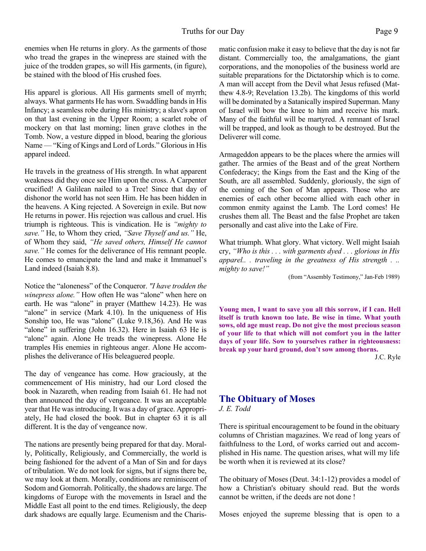enemies when He returns in glory. As the garments of those who tread the grapes in the winepress are stained with the juice of the trodden grapes, so will His garments, (in figure), be stained with the blood of His crushed foes.

His apparel is glorious. All His garments smell of myrrh; always. What garments He has worn. Swaddling bands in His Infancy; a seamless robe during His ministry; a slave's apron on that last evening in the Upper Room; a scarlet robe of mockery on that last morning; linen grave clothes in the Tomb. Now, a vesture dipped in blood, bearing the glorious Name — "King of Kings and Lord of Lords." Glorious in His apparel indeed.

He travels in the greatness of His strength. In what apparent weakness did they once see Him upon the cross. A Carpenter crucified! A Galilean nailed to a Tree! Since that day of dishonor the world has not seen Him. He has been hidden in the heavens. A King rejected. A Sovereign in exile. But now He returns in power. His rejection was callous and cruel. His triumph is righteous. This is vindication. He is *"mighty to save."* He, to Whom they cried, *"Save Thyself and us."* He, of Whom they said, *"He saved others, Himself He cannot save."* He comes for the deliverance of His remnant people. He comes to emancipate the land and make it Immanuel's Land indeed (Isaiah 8.8).

Notice the "aloneness" of the Conqueror. *"I have trodden the winepress alone."* How often He was "alone" when here on earth. He was "alone" in prayer (Matthew 14.23). He was "alone" in service (Mark 4.10). In the uniqueness of His Sonship too, He was "alone" (Luke 9.18,36). And He was "alone" in suffering (John 16.32). Here in Isaiah 63 He is "alone" again. Alone He treads the winepress. Alone He tramples His enemies in righteous anger. Alone He accomplishes the deliverance of His beleaguered people.

The day of vengeance has come. How graciously, at the commencement of His ministry, had our Lord closed the book in Nazareth, when reading from Isaiah 61. He had not then announced the day of vengeance. It was an acceptable year that He was introducing. It was a day of grace. Appropriately, He had closed the book. But in chapter 63 it is all different. It is the day of vengeance now.

The nations are presently being prepared for that day. Morally, Politically, Religiously, and Commercially, the world is being fashioned for the advent of a Man of Sin and for days of tribulation. We do not look for signs, but if signs there be, we may look at them. Morally, conditions are reminiscent of Sodom and Gomorrah. Politically, the shadows are large. The kingdoms of Europe with the movements in Israel and the Middle East all point to the end times. Religiously, the deep dark shadows are equally large. Ecumenism and the Charismatic confusion make it easy to believe that the day is not far distant. Commercially too, the amalgamations, the giant corporations, and the monopolies of the business world are suitable preparations for the Dictatorship which is to come. A man will accept from the Devil what Jesus refused (Matthew 4.8-9; Revelation 13.2b). The kingdoms of this world will be dominated by a Satanically inspired Superman. Many of Israel will bow the knee to him and receive his mark. Many of the faithful will be martyred. A remnant of Israel will be trapped, and look as though to be destroyed. But the Deliverer will come.

Armageddon appears to be the places where the armies will gather. The armies of the Beast and of the great Northern Confederacy; the Kings from the East and the King of the South, are all assembled. Suddenly, gloriously, the sign of the coming of the Son of Man appears. Those who are enemies of each other become allied with each other in common enmity against the Lamb. The Lord comes! He crushes them all. The Beast and the false Prophet are taken personally and cast alive into the Lake of Fire.

What triumph. What glory. What victory. Well might Isaiah cry, *"Who is this . . . with garments dyed . . . glorious in His apparel.. . traveling in the greatness of His strength . .. mighty to save!"*

(from "Assembly Testimony," Jan-Feb 1989)

**Young men, I want to save you all this sorrow, if I can. Hell itself is truth known too late. Be wise in time. What youth sows, old age must reap. Do not give the most precious season of your life to that which will not comfort you in the latter days of your life. Sow to yourselves rather in righteousness: break up your hard ground, don't sow among thorns.**

J.C. Ryle

### **The Obituary of Moses**

*J. E. Todd*

There is spiritual encouragement to be found in the obituary columns of Christian magazines. We read of long years of faithfulness to the Lord, of works carried out and accomplished in His name. The question arises, what will my life be worth when it is reviewed at its close?

The obituary of Moses (Deut. 34:1-12) provides a model of how a Christian's obituary should read. But the words cannot be written, if the deeds are not done !

Moses enjoyed the supreme blessing that is open to a